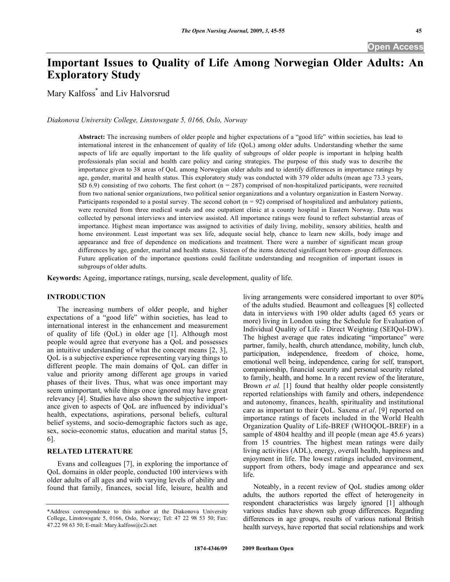# **Important Issues to Quality of Life Among Norwegian Older Adults: An Exploratory Study**

Mary Kalfoss\* and Liv Halvorsrud

*Diakonova University College, Linstowsgate 5, 0166, Oslo, Norway* 

**Abstract:** The increasing numbers of older people and higher expectations of a "good life" within societies, has lead to international interest in the enhancement of quality of life (QoL) among older adults. Understanding whether the same aspects of life are equally important to the life quality of subgroups of older people is important in helping health professionals plan social and health care policy and caring strategies. The purpose of this study was to describe the importance given to 38 areas of QoL among Norwegian older adults and to identify differences in importance ratings by age, gender, marital and health status. This exploratory study was conducted with 379 older adults (mean age 73.3 years, SD  $6.9$ ) consisting of two cohorts. The first cohort ( $n = 287$ ) comprised of non-hospitalized participants, were recruited from two national senior organizations, two political senior organizations and a voluntary organization in Eastern Norway. Participants responded to a postal survey. The second cohort  $(n = 92)$  comprised of hospitalized and ambulatory patients, were recruited from three medical wards and one outpatient clinic at a county hospital in Eastern Norway. Data was collected by personal interviews and interview assisted. All importance ratings were found to reflect substantial areas of importance. Highest mean importance was assigned to activities of daily living, mobility, sensory abilities, health and home environment. Least important was sex life, adequate social help, chance to learn new skills, body image and appearance and free of dependence on medications and treatment. There were a number of significant mean group differences by age, gender, marital and health status. Sixteen of the items detected significant between- group differences. Future application of the importance questions could facilitate understanding and recognition of important issues in subgroups of older adults.

**Keywords:** Ageing, importance ratings, nursing, scale development, quality of life.

# **INTRODUCTION**

 The increasing numbers of older people, and higher expectations of a "good life" within societies, has lead to international interest in the enhancement and measurement of quality of life (QoL) in older age [1]. Although most people would agree that everyone has a QoL and possesses an intuitive understanding of what the concept means [2, 3], QoL is a subjective experience representing varying things to different people. The main domains of QoL can differ in value and priority among different age groups in varied phases of their lives. Thus, what was once important may seem unimportant, while things once ignored may have great relevancy [4]. Studies have also shown the subjective importance given to aspects of QoL are influenced by individual's health, expectations, aspirations, personal beliefs, cultural belief systems, and socio-demographic factors such as age, sex, socio-economic status, education and marital status [5, 6].

# **RELATED LITERATURE**

 Evans and colleagues [7], in exploring the importance of QoL domains in older people, conducted 100 interviews with older adults of all ages and with varying levels of ability and found that family, finances, social life, leisure, health and

living arrangements were considered important to over 80% of the adults studied. Beaumont and colleagues [8] collected data in interviews with 190 older adults (aged 65 years or more) living in London using the Schedule for Evaluation of Individual Quality of Life - Direct Weighting (SEIQol-DW). The highest average que rates indicating "importance" were partner, family, health, church attendance, mobility, lunch club, participation, independence, freedom of choice, home, emotional well being, independence, caring for self, transport, companionship, financial security and personal security related to family, health, and home. In a recent review of the literature, Brown *et al.* [1] found that healthy older people consistently reported relationships with family and others, independence and autonomy, finances, health, spirituality and institutional care as important to their QoL. Saxena *et al*. [9] reported on importance ratings of facets included in the World Health Organization Quality of Life-BREF (WHOQOL-BREF) in a sample of 4804 healthy and ill people (mean age 45.6 years) from 15 countries. The highest mean ratings were daily living activities (ADL), energy, overall health, happiness and enjoyment in life. The lowest ratings included environment, support from others, body image and appearance and sex life.

 Noteably, in a recent review of QoL studies among older adults, the authors reported the effect of heterogeneity in respondent characteristics was largely ignored [1] although various studies have shown sub group differences. Regarding differences in age groups, results of various national British health surveys, have reported that social relationships and work

<sup>\*</sup>Address correspondence to this author at the Diakonova University College, Linstowsgate 5, 0166, Oslo, Norway; Tel: 47 22 98 53 50; Fax: 47.22 98 63 50; E-mail: Mary.kalfoss@c2i.net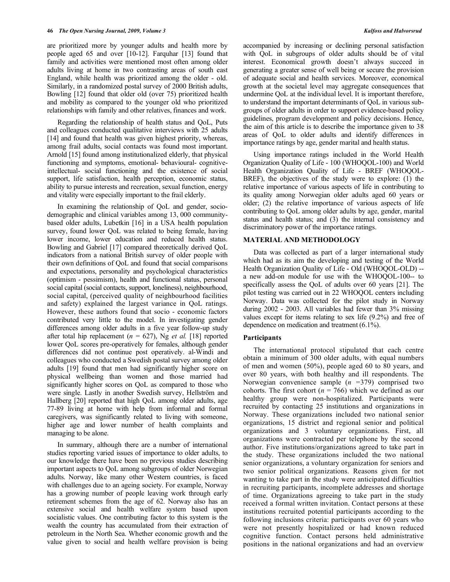are prioritized more by younger adults and health more by people aged 65 and over [10-12]. Farquhar [13] found that family and activities were mentioned most often among older adults living at home in two contrasting areas of south east England, while health was prioritized among the older - old. Similarly, in a randomized postal survey of 2000 British adults, Bowling [12] found that older old (over 75) prioritized health and mobility as compared to the younger old who prioritized relationships with family and other relatives, finances and work.

 Regarding the relationship of health status and QoL, Puts and colleagues conducted qualitative interviews with 25 adults [14] and found that health was given highest priority, whereas, among frail adults, social contacts was found most important. Arnold [15] found among institutionalized elderly, that physical functioning and symptoms, emotional- behavioural- cognitiveintellectual- social functioning and the existence of social support, life satisfaction, health perception, economic status, ability to pursue interests and recreation, sexual function, energy and vitality were especially important to the frail elderly.

 In examining the relationship of QoL and gender, sociodemographic and clinical variables among 13, 000 communitybased older adults, Lubetkin [16] in a USA health population survey, found lower QoL was related to being female, having lower income, lower education and reduced health status. Bowling and Gabriel [17] compared theoretically derived QoL indicators from a national British survey of older people with their own definitions of QoL and found that social comparisons and expectations, personality and psychological characteristics (optimism - pessimism), health and functional status, personal social capital (social contacts, support, loneliness), neighbourhood, social capital, (perceived quality of neighbourhood facilities and safety) explained the largest variance in QoL ratings. However, these authors found that socio - economic factors contributed very little to the model. In investigating gender differences among older adults in a five year follow-up study after total hip replacement ( $n = 627$ ), Ng *et al.* [18] reported lower QoL scores pre-operatively for females, although gender differences did not continue post operatively. al-Windi and colleagues who conducted a Swedish postal survey among older adults [19] found that men had significantly higher score on physical wellbeing than women and those married had significantly higher scores on QoL as compared to those who were single. Lastly in another Swedish survey, Hellström and Hallberg [20] reported that high QoL among older adults, age 77-89 living at home with help from informal and formal caregivers, was significantly related to living with someone, higher age and lower number of health complaints and managing to be alone.

 In summary, although there are a number of international studies reporting varied issues of importance to older adults, to our knowledge there have been no previous studies describing important aspects to QoL among subgroups of older Norwegian adults. Norway, like many other Western countries, is faced with challenges due to an ageing society. For example, Norway has a growing number of people leaving work through early retirement schemes from the age of 62. Norway also has an extensive social and health welfare system based upon socialistic values. One contributing factor to this system is the wealth the country has accumulated from their extraction of petroleum in the North Sea. Whether economic growth and the value given to social and health welfare provision is being accompanied by increasing or declining personal satisfaction with QoL in subgroups of older adults should be of vital interest. Economical growth doesn't always succeed in generating a greater sense of well being or secure the provision of adequate social and health services. Moreover, economical growth at the societal level may aggregate consequences that undermine QoL at the individual level. It is important therefore, to understand the important determinants of QoL in various subgroups of older adults in order to support evidence-based policy guidelines, program development and policy decisions. Hence, the aim of this article is to describe the importance given to 38 areas of QoL to older adults and identify differences in importance ratings by age, gender marital and health status.

 Using importance ratings included in the World Health Organization Quality of Life - 100 (WHOQOL-100) and World Health Organization Quality of Life - BREF (WHOQOL-BREF), the objectives of the study were to explore: (1) the relative importance of various aspects of life in contributing to its quality among Norwegian older adults aged 60 years or older; (2) the relative importance of various aspects of life contributing to QoL among older adults by age, gender, marital status and health status; and (3) the internal consistency and discriminatory power of the importance ratings.

### **MATERIAL AND METHODOLOGY**

 Data was collected as part of a larger international study which had as its aim the developing and testing of the World Health Organization Quality of Life - Old (WHOQOL-OLD) - a new add-on module for use with the WHOQOL-100-- to specifically assess the QoL of adults over 60 years [21]. The pilot testing was carried out in 22 WHOQOL centers including Norway. Data was collected for the pilot study in Norway during 2002 - 2003. All variables had fewer than 3% missing values except for items relating to sex life (9.2%) and free of dependence on medication and treatment (6.1%).

### **Participants**

 The international protocol stipulated that each centre obtain a minimum of 300 older adults, with equal numbers of men and women (50%), people aged 60 to 80 years, and over 80 years, with both healthy and ill respondents. The Norwegian convenience sample (*n =*379) comprised two cohorts. The first cohort ( $n = 766$ ) which we defined as our healthy group were non-hospitalized. Participants were recruited by contacting 25 institutions and organizations in Norway. These organizations included two national senior organizations, 15 district and regional senior and political organizations and 3 voluntary organizations. First, all organizations were contracted per telephone by the second author. Five institutions/organizations agreed to take part in the study. These organizations included the two national senior organizations, a voluntary organization for seniors and two senior political organizations. Reasons given for not wanting to take part in the study were anticipated difficulties in recruiting participants, incomplete addresses and shortage of time. Organizations agreeing to take part in the study received a formal written invitation. Contact persons at these institutions recruited potential participants according to the following inclusions criteria: participants over 60 years who were not presently hospitalized or had known reduced cognitive function. Contact persons held administrative positions in the national organizations and had an overview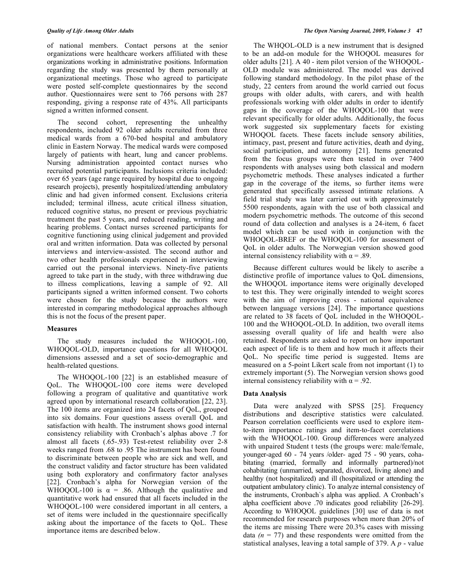of national members. Contact persons at the senior organizations were healthcare workers affiliated with these organizations working in administrative positions. Information regarding the study was presented by them personally at organizational meetings. Those who agreed to participate were posted self-complete questionnaires by the second author. Questionnaires were sent to 766 persons with 287 responding, giving a response rate of 43%. All participants signed a written informed consent.

 The second cohort, representing the unhealthy respondents, included 92 older adults recruited from three medical wards from a 670-bed hospital and ambulatory clinic in Eastern Norway. The medical wards were composed largely of patients with heart, lung and cancer problems. Nursing administration appointed contact nurses who recruited potential participants. Inclusions criteria included: over 65 years (age range required by hospital due to ongoing research projects), presently hospitalized/attending ambulatory clinic and had given informed consent. Exclusions criteria included; terminal illness, acute critical illness situation, reduced cognitive status, no present or previous psychiatric treatment the past 5 years, and reduced reading, writing and hearing problems. Contact nurses screened participants for cognitive functioning using clinical judgement and provided oral and written information. Data was collected by personal interviews and interview-assisted. The second author and two other health professionals experienced in interviewing carried out the personal interviews. Ninety-five patients agreed to take part in the study, with three withdrawing due to illness complications, leaving a sample of 92. All participants signed a written informed consent. Two cohorts were chosen for the study because the authors were interested in comparing methodological approaches although this is not the focus of the present paper.

# **Measures**

 The study measures included the WHOQOL-100, WHOQOL-OLD, importance questions for all WHOQOL dimensions assessed and a set of socio-demographic and health-related questions.

 The WHOQOL-100 [22] is an established measure of QoL. The WHOQOL-100 core items were developed following a program of qualitative and quantitative work agreed upon by international research collaboration [22, 23]. The 100 items are organized into 24 facets of QoL, grouped into six domains. Four questions assess overall QoL and satisfaction with health. The instrument shows good internal consistency reliability with Cronbach's alphas above .7 for almost all facets (.65-.93) Test-retest reliability over 2-8 weeks ranged from .68 to .95 The instrument has been found to discriminate between people who are sick and well, and the construct validity and factor structure has been validated using both exploratory and confirmatory factor analyses [22]. Cronbach's alpha for Norwegian version of the WHOQOL-100 is  $\alpha$  = .86. Although the qualitative and quantitative work had ensured that all facets included in the WHOQOL-100 were considered important in all centers, a set of items were included in the questionnaire specifically asking about the importance of the facets to QoL. These importance items are described below.

 The WHQOL-OLD is a new instrument that is designed to be an add-on module for the WHOQOL measures for older adults [21]. A 40 - item pilot version of the WHOQOL-OLD module was administered. The model was derived following standard methodology. In the pilot phase of the study, 22 centers from around the world carried out focus groups with older adults, with carers, and with health professionals working with older adults in order to identify gaps in the coverage of the WHOQOL-100 that were relevant specifically for older adults. Additionally, the focus work suggested six supplementary facets for existing WHOQOL facets. These facets include sensory abilities, intimacy, past, present and future activities, death and dying, social participation, and autonomy [21]. Items generated from the focus groups were then tested in over 7400 respondents with analyses using both classical and modern psychometric methods. These analyses indicated a further gap in the coverage of the items, so further items were generated that specifically assessed intimate relations. A field trial study was later carried out with approximately 5500 respondents, again with the use of both classical and modern psychometric methods. The outcome of this second round of data collection and analyses is a 24-item, 6 facet model which can be used with in conjunction with the WHOQOL-BREF or the WHOQOL-100 for assessment of QoL in older adults. The Norwegian version showed good internal consistency reliability with  $\alpha = .89$ .

 Because different cultures would be likely to ascribe a distinctive profile of importance values to QoL dimensions, the WHOQOL importance items were originally developed to test this. They were originally intended to weight scores with the aim of improving cross - national equivalence between language versions [24]. The importance questions are related to 38 facets of QoL included in the WHOQOL-100 and the WHOQOL-OLD. In addition, two overall items assessing overall quality of life and health were also retained. Respondents are asked to report on how important each aspect of life is to them and how much it affects their QoL. No specific time period is suggested. Items are measured on a 5-point Likert scale from not important (1) to extremely important (5). The Norwegian version shows good internal consistency reliability with  $\alpha = .92$ .

# **Data Analysis**

 Data were analyzed with SPSS [25]. Frequency distributions and descriptive statistics were calculated. Pearson correlation coefficients were used to explore itemto-item importance ratings and item-to-facet correlations with the WHOQOL-100. Group differences were analyzed with unpaired Student t tests (the groups were: male/female, younger-aged 60 - 74 years /older- aged 75 - 90 years, cohabitating (married, formally and informally partnered)/not cohabitating (unmarried, separated, divorced, living alone) and healthy (not hospitalized) and ill (hospitalized or attending the outpatient ambulatory clinic). To analyze internal consistency of the instruments, Cronbach`s alpha was applied. A Cronbach's alpha coefficient above .70 indicates good reliability [26-29]. According to WHOQOL guidelines [30] use of data is not recommended for research purposes when more than 20% of the items are missing There were 20.3% cases with missing data  $(n = 77)$  and these respondents were omitted from the statistical analyses, leaving a total sample of 379. A *p* - value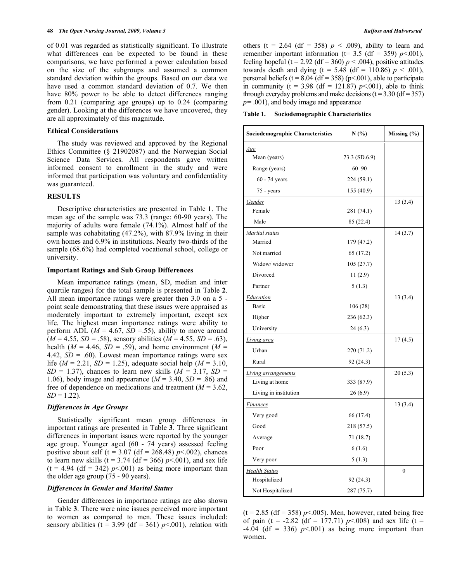of 0.01 was regarded as statistically significant. To illustrate what differences can be expected to be found in these comparisons, we have performed a power calculation based on the size of the subgroups and assumed a common standard deviation within the groups. Based on our data we have used a common standard deviation of 0.7. We then have 80% power to be able to detect differences ranging from 0.21 (comparing age groups) up to 0.24 (comparing gender). Looking at the differences we have uncovered, they are all approximately of this magnitude.

#### **Ethical Considerations**

 The study was reviewed and approved by the Regional Ethics Committee (§ 21902087) and the Norwegian Social Science Data Services. All respondents gave written informed consent to enrollment in the study and were informed that participation was voluntary and confidentiality was guaranteed.

# **RESULTS**

 Descriptive characteristics are presented in Table **1**. The mean age of the sample was 73.3 (range: 60-90 years). The majority of adults were female (74.1%). Almost half of the sample was cohabitating (47.2%), with 87.9% living in their own homes and 6.9% in institutions. Nearly two-thirds of the sample (68.6%) had completed vocational school, college or university.

# **Important Ratings and Sub Group Differences**

 Mean importance ratings (mean, SD, median and inter quartile ranges) for the total sample is presented in Table **2**. All mean importance ratings were greater then 3.0 on a 5 point scale demonstrating that these issues were appraised as moderately important to extremely important, except sex life. The highest mean importance ratings were ability to perform ADL ( $M = 4.67$ ,  $SD = .55$ ), ability to move around  $(M = 4.55, SD = .58)$ , sensory abilities  $(M = 4.55, SD = .63)$ , health ( $M = 4.46$ ,  $SD = .59$ ), and home environment ( $M =$ 4.42,  $SD = .60$ ). Lowest mean importance ratings were sex life ( $M = 2.21$ ,  $SD = 1.25$ ), adequate social help ( $M = 3.10$ ,  $SD = 1.37$ , chances to learn new skills ( $M = 3.17$ ,  $SD =$ 1.06), body image and appearance  $(M = 3.40, SD = .86)$  and free of dependence on medications and treatment  $(M = 3.62)$ ,  $SD = 1.22$ ).

# *Differences in Age Groups*

 Statistically significant mean group differences in important ratings are presented in Table **3**. Three significant differences in important issues were reported by the younger age group. Younger aged (60 - 74 years) assessed feeling positive about self (t =  $3.07$  (df =  $268.48$ ) *p* < 002), chances to learn new skills ( $t = 3.74$  ( $df = 366$ )  $p < .001$ ), and sex life  $(t = 4.94$  (df = 342)  $p<0.001$ ) as being more important than the older age group (75 - 90 years).

# *Differences in Gender and Marital Status*

 Gender differences in importance ratings are also shown in Table **3**. There were nine issues perceived more important to women as compared to men. These issues included: sensory abilities ( $t = 3.99$  ( $df = 361$ )  $p < .001$ ), relation with others (t = 2.64 (df = 358)  $p < .009$ ), ability to learn and remember important information ( $t=$  3.5 (df = 359) *p*<.001), feeling hopeful (t = 2.92 (df = 360)  $p < .004$ ), positive attitudes towards death and dying  $(t = 5.48$  (df = 110.86)  $p < .001$ ), personal beliefs ( $t = 8.04$  ( $df = 358$ ) ( $p < .001$ ), able to participate in community ( $t = 3.98$  (df = 121.87) *p* < 001), able to think through everyday problems and make decisions  $(t = 3.30$  (df = 357) *p=* .001), and body image and appearance

| Table 1. |  | <b>Sociodemographic Characteristics</b> |
|----------|--|-----------------------------------------|
|----------|--|-----------------------------------------|

| Sociodemographic Characteristics | N(%)          | Missing $(\% )$  |  |  |
|----------------------------------|---------------|------------------|--|--|
| Age                              |               |                  |  |  |
| Mean (years)                     | 73.3 (SD.6.9) |                  |  |  |
| Range (years)                    | $60 - 90$     |                  |  |  |
| $60 - 74$ years                  | 224 (59.1)    |                  |  |  |
| 75 - years                       | 155 (40.9)    |                  |  |  |
| Gender                           |               | 13(3.4)          |  |  |
| Female                           | 281 (74.1)    |                  |  |  |
| Male                             | 85 (22.4)     |                  |  |  |
| Marital status                   |               | 14 (3.7)         |  |  |
| Married                          | 179 (47.2)    |                  |  |  |
| Not married                      | 65 (17.2)     |                  |  |  |
| Widow/widower                    | 105 (27.7)    |                  |  |  |
| Divorced                         | 11(2.9)       |                  |  |  |
| Partner                          | 5(1.3)        |                  |  |  |
| Education                        |               | 13 (3.4)         |  |  |
| <b>Basic</b>                     | 106(28)       |                  |  |  |
| Higher                           | 236 (62.3)    |                  |  |  |
| University                       | 24(6.3)       |                  |  |  |
| Living area                      |               | 17(4.5)          |  |  |
| Urban                            | 270 (71.2)    |                  |  |  |
| Rural                            | 92 (24.3)     |                  |  |  |
| <b>Living arrangements</b>       |               | 20(5.3)          |  |  |
| Living at home                   | 333 (87.9)    |                  |  |  |
| Living in institution            | 26(6.9)       |                  |  |  |
| Finances                         |               | 13(3.4)          |  |  |
| Very good                        | 66 (17.4)     |                  |  |  |
| Good                             | 218 (57.5)    |                  |  |  |
| Average                          | 71 (18.7)     |                  |  |  |
| Poor                             | 6(1.6)        |                  |  |  |
| Very poor                        | 5(1.3)        |                  |  |  |
| <b>Health Status</b>             |               | $\boldsymbol{0}$ |  |  |
| Hospitalized                     | 92 (24.3)     |                  |  |  |
| Not Hospitalized                 | 287 (75.7)    |                  |  |  |

 $(t = 2.85$  (df = 358)  $p$ <.005). Men, however, rated being free of pain (t =  $-2.82$  (df = 177.71) *p*<.008) and sex life (t =  $-4.04$  (df = 336)  $p<.001$ ) as being more important than women.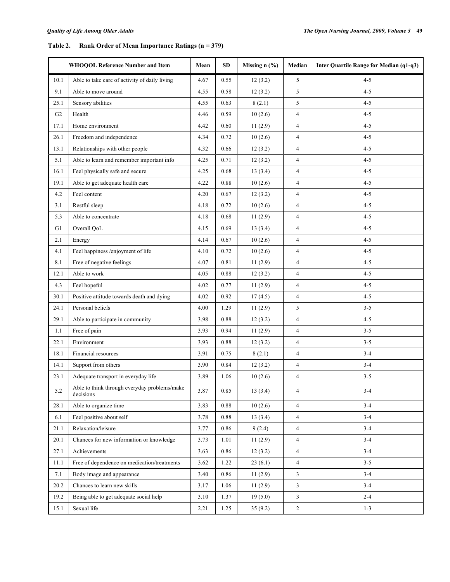# **Table 2. Rank Order of Mean Importance Ratings (n = 379)**

|                | WHOQOL Reference Number and Item                          | Mean | <b>SD</b> | Missing $n$ (%) | Median         | Inter Quartile Range for Median (q1-q3) |
|----------------|-----------------------------------------------------------|------|-----------|-----------------|----------------|-----------------------------------------|
| 10.1           | Able to take care of activity of daily living             | 4.67 | 0.55      | 12(3.2)         | 5              | $4 - 5$                                 |
| 9.1            | Able to move around                                       | 4.55 | 0.58      | 12(3.2)         | 5              | $4 - 5$                                 |
| 25.1           | Sensory abilities                                         | 4.55 | 0.63      | 8(2.1)          | 5              | $4 - 5$                                 |
| G <sub>2</sub> | Health                                                    | 4.46 | 0.59      | 10(2.6)         | $\overline{4}$ | $4 - 5$                                 |
| 17.1           | Home environment                                          | 4.42 | 0.60      | 11(2.9)         | 4              | $4 - 5$                                 |
| 26.1           | Freedom and independence                                  | 4.34 | 0.72      | 10(2.6)         | $\overline{4}$ | $4 - 5$                                 |
| 13.1           | Relationships with other people                           | 4.32 | 0.66      | 12(3.2)         | 4              | $4 - 5$                                 |
| 5.1            | Able to learn and remember important info                 | 4.25 | 0.71      | 12(3.2)         | 4              | $4 - 5$                                 |
| 16.1           | Feel physically safe and secure                           | 4.25 | 0.68      | 13(3.4)         | 4              | $4 - 5$                                 |
| 19.1           | Able to get adequate health care                          | 4.22 | 0.88      | 10(2.6)         | 4              | $4 - 5$                                 |
| 4.2            | Feel content                                              | 4.20 | 0.67      | 12(3.2)         | 4              | $4 - 5$                                 |
| 3.1            | Restful sleep                                             | 4.18 | 0.72      | 10(2.6)         | $\overline{4}$ | $4 - 5$                                 |
| 5.3            | Able to concentrate                                       | 4.18 | 0.68      | 11(2.9)         | $\overline{4}$ | $4 - 5$                                 |
| G1             | Overall QoL                                               | 4.15 | 0.69      | 13(3.4)         | $\overline{4}$ | $4 - 5$                                 |
| 2.1            | Energy                                                    | 4.14 | 0.67      | 10(2.6)         | $\overline{4}$ | $4 - 5$                                 |
| 4.1            | Feel happiness /enjoyment of life                         | 4.10 | 0.72      | 10(2.6)         | 4              | $4 - 5$                                 |
| 8.1            | Free of negative feelings                                 | 4.07 | 0.81      | 11(2.9)         | 4              | $4 - 5$                                 |
| 12.1           | Able to work                                              | 4.05 | 0.88      | 12(3.2)         | $\overline{4}$ | $4 - 5$                                 |
| 4.3            | Feel hopeful                                              | 4.02 | 0.77      | 11(2.9)         | $\overline{4}$ | $4 - 5$                                 |
| 30.1           | Positive attitude towards death and dying                 | 4.02 | 0.92      | 17(4.5)         | 4              | $4 - 5$                                 |
| 24.1           | Personal beliefs                                          | 4.00 | 1.29      | 11(2.9)         | 5              | $3 - 5$                                 |
| 29.1           | Able to participate in community                          | 3.98 | 0.88      | 12(3.2)         | 4              | $4 - 5$                                 |
| 1.1            | Free of pain                                              | 3.93 | 0.94      | 11(2.9)         | 4              | $3 - 5$                                 |
| 22.1           | Environment                                               | 3.93 | 0.88      | 12(3.2)         | 4              | $3 - 5$                                 |
| 18.1           | Financial resources                                       | 3.91 | 0.75      | 8(2.1)          | $\overline{4}$ | $3 - 4$                                 |
| 14.1           | Support from others                                       | 3.90 | 0.84      | 12(3.2)         | 4              | $3 - 4$                                 |
| 23.1           | Adequate transport in everyday life                       | 3.89 | 1.06      | 10(2.6)         | 4              | $3 - 5$                                 |
| 5.2            | Able to think through everyday problems/make<br>decisions | 3.87 | 0.85      | 13(3.4)         | $\overline{4}$ | $3-4$                                   |
| 28.1           | Able to organize time                                     | 3.83 | 0.88      | 10(2.6)         | $\overline{4}$ | $3 - 4$                                 |
| 6.1            | Feel positive about self                                  | 3.78 | 0.88      | 13(3.4)         | $\overline{4}$ | $3 - 4$                                 |
| 21.1           | Relaxation/leisure                                        | 3.77 | 0.86      | 9(2.4)          | $\overline{4}$ | $3 - 4$                                 |
| 20.1           | Chances for new information or knowledge                  | 3.73 | 1.01      | 11(2.9)         | 4              | $3-4$                                   |
| 27.1           | Achievements                                              | 3.63 | 0.86      | 12(3.2)         | $\overline{4}$ | $3-4$                                   |
| 11.1           | Free of dependence on medication/treatments               | 3.62 | 1.22      | 23(6.1)         | 4              | $3 - 5$                                 |
| 7.1            | Body image and appearance                                 | 3.40 | 0.86      | 11(2.9)         | 3              | $3-4$                                   |
| 20.2           | Chances to learn new skills                               | 3.17 | 1.06      | 11(2.9)         | 3              | $3 - 4$                                 |
| 19.2           | Being able to get adequate social help                    | 3.10 | 1.37      | 19(5.0)         | $\mathfrak{Z}$ | $2 - 4$                                 |
| 15.1           | Sexual life                                               | 2.21 | 1.25      | 35(9.2)         | $\sqrt{2}$     | $1 - 3$                                 |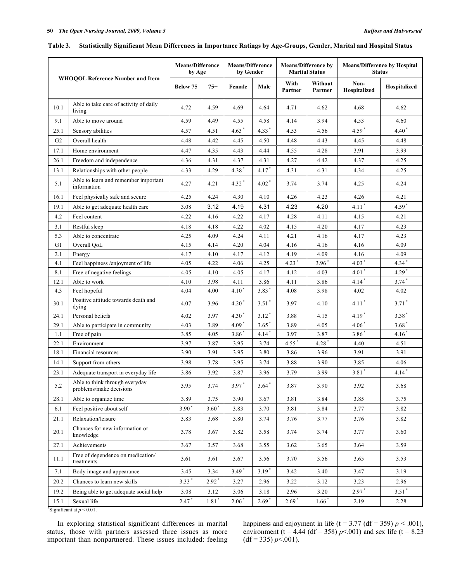|  |  | Table 3. Statistically Significant Mean Differences in Importance Ratings by Age-Groups, Gender, Marital and Hospital Status |
|--|--|------------------------------------------------------------------------------------------------------------------------------|
|  |  |                                                                                                                              |

| <b>WHOQOL Reference Number and Item</b> |                                                           | <b>Means/Difference</b><br>by Age |                     | <b>Means/Difference</b><br>by Gender |                     | <b>Means/Difference by</b><br><b>Marital Status</b> |                    | <b>Means/Difference by Hospital</b><br><b>Status</b> |                     |
|-----------------------------------------|-----------------------------------------------------------|-----------------------------------|---------------------|--------------------------------------|---------------------|-----------------------------------------------------|--------------------|------------------------------------------------------|---------------------|
|                                         |                                                           | Below 75                          | $75+$               | Female                               | Male                | With<br>Partner                                     | Without<br>Partner | Non-<br>Hospitalized                                 | Hospitalized        |
| 10.1                                    | Able to take care of activity of daily<br>living          | 4.72                              | 4.59                | 4.69                                 | 4.64                | 4.71                                                | 4.62               | 4.68                                                 | 4.62                |
| 9.1                                     | Able to move around                                       | 4.59                              | 4.49                | 4.55                                 | 4.58                | 4.14                                                | 3.94               | 4.53                                                 | 4.60                |
| 25.1                                    | Sensory abilities                                         | 4.57                              | 4.51                | $4.63*$                              | $4.33*$             | 4.53                                                | 4.56               | $4.59*$                                              | $4.40*$             |
| G <sub>2</sub>                          | Overall health                                            | 4.48                              | 4.42                | 4.45                                 | 4.50                | 4.48                                                | 4.43               | 4.45                                                 | 4.48                |
| 17.1                                    | Home environment                                          | 4.47                              | 4.35                | 4.43                                 | 4.44                | 4.55                                                | 4.28               | 3.91                                                 | 3.99                |
| 26.1                                    | Freedom and independence                                  | 4.36                              | 4.31                | 4.37                                 | 4.31                | 4.27                                                | 4.42               | 4.37                                                 | 4.25                |
| 13.1                                    | Relationships with other people                           | 4.33                              | 4.29                | $4.38*$                              | $4.17*$             | 4.31                                                | 4.31               | 4.34                                                 | 4.25                |
| 5.1                                     | Able to learn and remember important<br>information       | 4.27                              | 4.21                | $4.32*$                              | $4.02$ <sup>*</sup> | 3.74                                                | 3.74               | 4.25                                                 | 4.24                |
| 16.1                                    | Feel physically safe and secure                           | 4.25                              | 4.24                | 4.30                                 | 4.10                | 4.26                                                | 4.23               | 4.26                                                 | 4.21                |
| 19.1                                    | Able to get adequate health care                          | 3.08                              | 3.12                | 4.19                                 | 4.31                | 4.23                                                | 4.20               | $4.11$ <sup>*</sup>                                  | $4.59*$             |
| 4.2                                     | Feel content                                              | 4.22                              | 4.16                | 4.22                                 | 4.17                | 4.28                                                | 4.11               | 4.15                                                 | 4.21                |
| 3.1                                     | Restful sleep                                             | 4.18                              | 4.18                | 4.22                                 | 4.02                | 4.15                                                | 4.20               | 4.17                                                 | 4.23                |
| 5.3                                     | Able to concentrate                                       | 4.25                              | 4.09                | 4.24                                 | 4.11                | 4.21                                                | 4.16               | 4.17                                                 | 4.23                |
| G1                                      | Overall QoL                                               | 4.15                              | 4.14                | 4.20                                 | 4.04                | 4.16                                                | 4.16               | 4.16                                                 | 4.09                |
| 2.1                                     | Energy                                                    | 4.17                              | 4.10                | 4.17                                 | 4.12                | 4.19                                                | 4.09               | 4.16                                                 | 4.09                |
| 4.1                                     | Feel happiness /enjoyment of life                         | 4.05                              | 4.22                | 4.06                                 | 4.25                | $4.23$ <sup>*</sup>                                 | $3.96*$            | $4.03*$                                              | $4.34$ <sup>*</sup> |
| 8.1                                     | Free of negative feelings                                 | 4.05                              | 4.10                | 4.05                                 | 4.17                | 4.12                                                | 4.03               | $4.01*$                                              | $4.29*$             |
| 12.1                                    | Able to work                                              | 4.10                              | 3.98                | 4.11                                 | 3.86                | 4.11                                                | 3.86               | $4.14$ <sup>*</sup>                                  | $3.74$ <sup>*</sup> |
| 4.3                                     | Feel hopeful                                              | 4.04                              | 4.00                | $4.10*$                              | $3.83*$             | 4.08                                                | 3.98               | 4.02                                                 | 4.02                |
| 30.1                                    | Positive attitude towards death and<br>dying              | 4.07                              | 3.96                | $4.20*$                              | $3.51*$             | 3.97                                                | 4.10               | $4.11*$                                              | $3.71$ *            |
| 24.1                                    | Personal beliefs                                          | 4.02                              | 3.97                | $4.30^{\degree}$                     | $3.12*$             | 3.88                                                | 4.15               | $4.19*$                                              | $3.38*$             |
| 29.1                                    | Able to participate in community                          | 4.03                              | 3.89                | $4.09*$                              | $3.65*$             | 3.89                                                | 4.05               | $4.06*$                                              | $3.68*$             |
| 1.1                                     | Free of pain                                              | 3.85                              | 4.05                | $3.86*$                              | $4.14*$             | 3.97                                                | 3.87               | $3.86*$                                              | $4.16*$             |
| 22.1                                    | Environment                                               | 3.97                              | 3.87                | 3.95                                 | 3.74                | $4.55$ <sup>*</sup>                                 | $4.28*$            | 4.40                                                 | 4.51                |
| 18.1                                    | Financial resources                                       | 3.90                              | 3.91                | 3.95                                 | 3.80                | 3.86                                                | 3.96               | 3.91                                                 | 3.91                |
| 14.1                                    | Support from others                                       | 3.98                              | 3.78                | 3.95                                 | 3.74                | 3.88                                                | 3.90               | 3.85                                                 | 4.06                |
| 23.1                                    | Adequate transport in everyday life                       | 3.86                              | 3.92                | 3.87                                 | 3.96                | 3.79                                                | 3.99               | $3.81*$                                              | $4.14$ <sup>*</sup> |
| 5.2                                     | Able to think through everyday<br>problems/make decisions | 3.95                              | 3.74                | $3.97*$                              | $3.64*$             | 3.87                                                | 3.90               | 3.92                                                 | 3.68                |
| 28.1                                    | Able to organize time                                     | 3.89                              | 3.75                | 3.90                                 | 3.67                | 3.81                                                | 3.84               | 3.85                                                 | 3.75                |
| 6.1                                     | Feel positive about self                                  | $3.90*$                           | $3.60*$             | 3.83                                 | 3.70                | 3.81                                                | 3.84               | 3.77                                                 | 3.82                |
| 21.1                                    | Relaxation/leisure                                        | 3.83                              | 3.68                | 3.80                                 | 3.74                | 3.76                                                | 3.77               | 3.76                                                 | 3.82                |
| 20.1                                    | Chances for new information or<br>knowledge               | 3.78                              | 3.67                | 3.82                                 | 3.58                | 3.74                                                | 3.74               | 3.77                                                 | 3.60                |
| 27.1                                    | Achievements                                              | 3.67                              | 3.57                | 3.68                                 | 3.55                | 3.62                                                | 3.65               | 3.64                                                 | 3.59                |
| 11.1                                    | Free of dependence on medication/<br>treatments           | 3.61                              | 3.61                | 3.67                                 | 3.56                | 3.70                                                | 3.56               | 3.65                                                 | 3.53                |
| 7.1                                     | Body image and appearance                                 | 3.45                              | 3.34                | $3.49*$                              | $3.19*$             | 3.42                                                | 3.40               | 3.47                                                 | 3.19                |
| 20.2                                    | Chances to learn new skills                               | $3.33*$                           | $2.92*$             | 3.27                                 | 2.96                | 3.22                                                | 3.12               | 3.23                                                 | 2.96                |
| 19.2                                    | Being able to get adequate social help                    | 3.08                              | 3.12                | 3.06                                 | 3.18                | 2.96                                                | 3.20               | $2.97*$                                              | $3.51*$             |
| 15.1                                    | Sexual life                                               | $2.47*$                           | $1.81$ <sup>*</sup> | $2.06*$                              | $2.69*$             | $2.69*$                                             | $1.66*$            | 2.19                                                 | 2.28                |

\*Significant at  $p < 0.01$ .

 In exploring statistical significant differences in marital status, those with partners assessed three issues as more important than nonpartnered. These issues included: feeling happiness and enjoyment in life (t = 3.77 (df = 359)  $p < .001$ ), environment (t = 4.44 (df = 358)  $p$  < 001) and sex life (t = 8.23  $(df = 335) p < .001$ .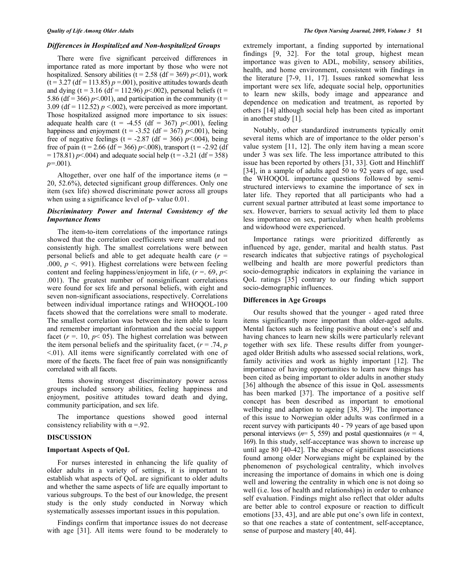### *Differences in Hospitalized and Non-hospitalized Groups*

 There were five significant perceived differences in importance rated as more important by those who were not hospitalized. Sensory abilities ( $t = 2.58$  ( $df = 369$ ) *p*<.01), work  $(t = 3.27$  (df = 113.85)  $p = .001$ ), positive attitudes towards death and dying ( $t = 3.16$  ( $df = 112.96$ )  $p < .002$ ), personal beliefs ( $t =$ 5.86 (df = 366)  $p<0.001$ ), and participation in the community (t = 3.09 (df = 112.52)  $p \le 0.002$ ), were perceived as more important. Those hospitalized assigned more importance to six issues: adequate health care (t =  $-4.55$  (df = 367) *p*<.001), feeling happiness and enjoyment ( $t = -3.52$  (df = 367) *p*<.001), being free of negative feelings (t = -2.87 (df = 366)  $p$  < 004), being free of pain (t = 2.66 (df = 366)  $p$  < 008), transport (t = -2.92 (df  $= 178.81$ ) *p* < 0.04) and adequate social help (t = -3.21 (df = 358) *p=*.001).

Altogether, over one half of the importance items  $(n =$ 20, 52.6%), detected significant group differences. Only one item (sex life) showed discriminate power across all groups when using a significance level of p- value 0.01.

# *Discriminatory Power and Internal Consistency of the Importance Items*

 The item-to-item correlations of the importance ratings showed that the correlation coefficients were small and not consistently high. The smallest correlations were between personal beliefs and able to get adequate health care (*r* = .000,  $p < 991$ ). Highest correlations were between feeling content and feeling happiness/enjoyment in life, (*r* =. 69, *p*< .001). The greatest number of nonsignificant correlations were found for sex life and personal beliefs, with eight and seven non-significant associations, respectively. Correlations between individual importance ratings and WHOQOL-100 facets showed that the correlations were small to moderate. The smallest correlation was between the item able to learn and remember important information and the social support facet ( $r = 10$ ,  $p < 05$ ). The highest correlation was between the item personal beliefs and the spirituality facet,  $(r = .74, p)$ <.01). All items were significantly correlated with one of more of the facets. The facet free of pain was nonsignificantly correlated with all facets.

 Items showing strongest discriminatory power across groups included sensory abilities, feeling happiness and enjoyment, positive attitudes toward death and dying, community participation, and sex life.

 The importance questions showed good internal consistency reliability with  $\alpha = 92$ .

# **DISCUSSION**

### **Important Aspects of QoL**

 For nurses interested in enhancing the life quality of older adults in a variety of settings, it is important to establish what aspects of QoL are significant to older adults and whether the same aspects of life are equally important to various subgroups. To the best of our knowledge, the present study is the only study conducted in Norway which systematically assesses important issues in this population.

 Findings confirm that importance issues do not decrease with age [31]. All items were found to be moderately to

extremely important, a finding supported by international findings [9, 32]. For the total group, highest mean importance was given to ADL, mobility, sensory abilities, health, and home environment, consistent with findings in the literature [7-9, 11, 17]. Issues ranked somewhat less important were sex life, adequate social help, opportunities to learn new skills, body image and appearance and dependence on medication and treatment, as reported by others [14] although social help has been cited as important in another study [1].

 Notably, other standardized instruments typically omit several items which are of importance to the older person's value system [11, 12]. The only item having a mean score under 3 was sex life. The less importance attributed to this issue has been reported by others [31, 33]. Gott and Hinchliff [34], in a sample of adults aged 50 to 92 years of age, used the WHOQOL importance questions followed by semistructured interviews to examine the importance of sex in later life. They reported that all participants who had a current sexual partner attributed at least some importance to sex. However, barriers to sexual activity led them to place less importance on sex, particularly when health problems and widowhood were experienced.

 Importance ratings were prioritized differently as influenced by age, gender, marital and health status. Past research indicates that subjective ratings of psychological wellbeing and health are more powerful predictors than socio-demographic indicators in explaining the variance in QoL ratings [35] contrary to our finding which support socio-demographic influences.

### **Differences in Age Groups**

 Our results showed that the younger - aged rated three items significantly more important than older-aged adults. Mental factors such as feeling positive about one's self and having chances to learn new skills were particularly relevant together with sex life. These results differ from youngeraged older British adults who assessed social relations, work, family activities and work as highly important [12]. The importance of having opportunities to learn new things has been cited as being important to older adults in another study [36] although the absence of this issue in QoL assessments has been marked [37]. The importance of a positive self concept has been described as important to emotional wellbeing and adaption to ageing [38, 39]. The importance of this issue to Norwegian older adults was confirmed in a recent survey with participants 40 - 79 years of age based upon personal interviews ( $n=5$ , 559) and postal questionnaires ( $n=4$ , 169). In this study, self-acceptance was shown to increase up until age 80 [40-42]. The absence of significant associations found among older Norwegians might be explained by the phenomenon of psychological centrality, which involves increasing the importance of domains in which one is doing well and lowering the centrality in which one is not doing so well (i.e. loss of health and relationships) in order to enhance self evaluation. Findings might also reflect that older adults are better able to control exposure or reaction to difficult emotions [33, 43], and are able put one's own life in context, so that one reaches a state of contentment, self-acceptance, sense of purpose and mastery [40, 44].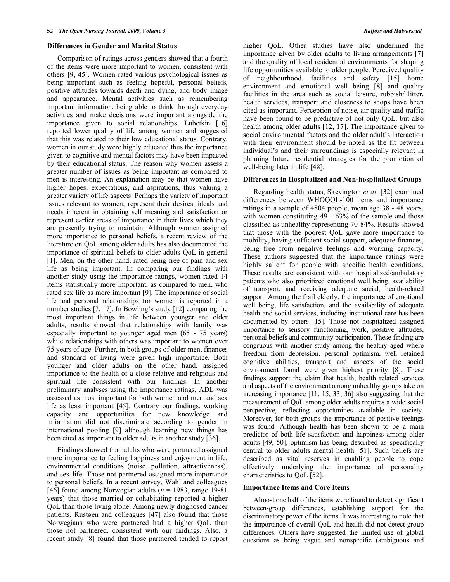### **Differences in Gender and Marital Status**

 Comparison of ratings across genders showed that a fourth of the items were more important to women, consistent with others [9, 45]. Women rated various psychological issues as being important such as feeling hopeful, personal beliefs, positive attitudes towards death and dying, and body image and appearance. Mental activities such as remembering important information, being able to think through everyday activities and make decisions were important alongside the importance given to social relationships. Lubetkin [16] reported lower quality of life among women and suggested that this was related to their low educational status. Contrary, women in our study were highly educated thus the importance given to cognitive and mental factors may have been impacted by their educational status. The reason why women assess a greater number of issues as being important as compared to men is interesting. An explanation may be that women have higher hopes, expectations, and aspirations, thus valuing a greater variety of life aspects. Perhaps the variety of important issues relevant to women, represent their desires, ideals and needs inherent in obtaining self meaning and satisfaction or represent earlier areas of importance in their lives which they are presently trying to maintain. Although women assigned more importance to personal beliefs, a recent review of the literature on QoL among older adults has also documented the importance of spiritual beliefs to older adults QoL in general [1]. Men, on the other hand, rated being free of pain and sex life as being important. In comparing our findings with another study using the importance ratings, women rated 14 items statistically more important, as compared to men, who rated sex life as more important [9]. The importance of social life and personal relationships for women is reported in a number studies [7, 17]. In Bowling's study [12] comparing the most important things in life between younger and older adults, results showed that relationships with family was especially important to younger aged men (65 - 75 years) while relationships with others was important to women over 75 years of age. Further, in both groups of older men, finances and standard of living were given high importance. Both younger and older adults on the other hand, assigned importance to the health of a close relative and religious and spiritual life consistent with our findings. In another preliminary analyses using the importance ratings, ADL was assessed as most important for both women and men and sex life as least important [45]. Contrary our findings, working capacity and opportunities for new knowledge and information did not discriminate according to gender in international pooling [9] although learning new things has been cited as important to older adults in another study [36].

 Findings showed that adults who were partnered assigned more importance to feeling happiness and enjoyment in life, environmental conditions (noise, pollution, attractiveness), and sex life. Those not partnered assigned more importance to personal beliefs. In a recent survey, Wahl and colleagues [46] found among Norwegian adults  $(n = 1983, \text{ range } 19-81)$ years) that those married or cohabitating reported a higher QoL than those living alone. Among newly diagnosed cancer patients, Rustøen and colleagues [47] also found that those Norwegians who were partnered had a higher QoL than those not partnered, consistent with our findings. Also, a recent study [8] found that those partnered tended to report

higher QoL. Other studies have also underlined the importance given by older adults to living arrangements [7] and the quality of local residential environments for shaping life opportunities available to older people. Perceived quality of neighbourhood, facilities and safety [15] home environment and emotional well being [8] and quality facilities in the area such as social leisure, rubbish/ litter, health services, transport and closeness to shops have been cited as important. Perception of noise, air quality and traffic have been found to be predictive of not only QoL, but also health among older adults [12, 17]. The importance given to social environmental factors and the older adult's interaction with their environment should be noted as the fit between individual's and their surroundings is especially relevant in planning future residential strategies for the promotion of well-being later in life [48].

### **Differences in Hospitalized and Non-hospitalized Groups**

 Regarding health status, Skevington *et al.* [32] examined differences between WHOQOL-100 items and importance ratings in a sample of 4804 people, mean age 38 - 48 years, with women constituting 49 - 63% of the sample and those classified as unhealthy representing 70-84%. Results showed that those with the poorest QoL gave more importance to mobility, having sufficient social support, adequate finances, being free from negative feelings and working capacity. These authors suggested that the importance ratings were highly salient for people with specific health conditions. These results are consistent with our hospitalized/ambulatory patients who also prioritized emotional well being, availability of transport, and receiving adequate social, health-related support. Among the frail elderly, the importance of emotional well being, life satisfaction, and the availability of adequate health and social services, including institutional care has been documented by others [15]. Those not hospitalized assigned importance to sensory functioning, work, positive attitudes, personal beliefs and community participation. These finding are congruous with another study among the healthy aged where freedom from depression, personal optimism, well retained cognitive abilities, transport and aspects of the social environment found were given highest priority [8]. These findings support the claim that health, health related services and aspects of the environment among unhealthy groups take on increasing importance [11, 15, 33, 36] also suggesting that the measurement of QoL among older adults requires a wide social perspective, reflecting opportunities available in society. Moreover, for both groups the importance of positive feelings was found. Although health has been shown to be a main predictor of both life satisfaction and happiness among older adults [49, 50], optimism has being described as specifically central to older adults mental health [51]. Such beliefs are described as vital reserves in enabling people to cope effectively underlying the importance of personality characteristics to QoL [52].

# **Importance Items and Core Items**

 Almost one half of the items were found to detect significant between-group differences, establishing support for the discriminatory power of the items. It was interesting to note that the importance of overall QoL and health did not detect group differences. Others have suggested the limited use of global questions as being vague and nonspecific (ambiguous and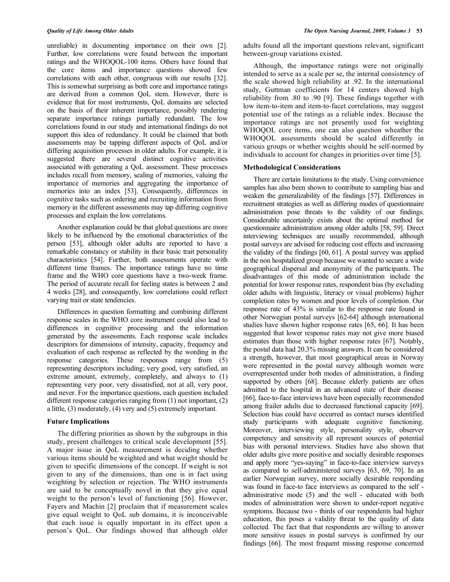unreliable) in documenting importance on their own [2]. Further, low correlations were found between the important ratings and the WHOQOL-100 items. Others have found that the core items and importance questions showed few correlations with each other, congruous with our results [32]. This is somewhat surprising as both core and importance ratings are derived from a common QoL stem. However, there is evidence that for most instruments, QoL domains are selected on the basis of their inherent importance, possibly rendering separate importance ratings partially redundant. The low correlations found in our study and international findings do not support this idea of redundancy. It could be claimed that both assessments may be tapping different aspects of QoL and/or differing acquisition processes in older adults. For example, it is suggested there are several distinct cognitive activities associated with generating a QoL assessment. These processes includes recall from memory, sealing of memories, valuing the importance of memories and aggregating the importance of memories into an index [53]. Consequently, differences in cognitive tasks such as ordering and recruiting information from memory in the different assessments may tap differing cognitive processes and explain the low correlations.

 Another explanation could be that global questions are more likely to be influenced by the emotional characteristics of the person [53], although older adults are reported to have a remarkable constancy or stability in their basic trait personality characteristics [54]. Further, both assessments operate with different time frames. The importance ratings have no time frame and the WHO core questions have a two-week frame. The period of accurate recall for feeling states is between 2 and 4 weeks [28], and consequently, low correlations could reflect varying trait or state tendencies.

 Differences in question formatting and combining different response scales in the WHO core instrument could also lead to differences in cognitive processing and the information generated by the assessments. Each response scale includes descriptors for dimensions of intensity, capacity, frequency and evaluation of each response as reflected by the wording in the response categories. These responses range from (5) representing descriptors including; very good, very satisfied, an extreme amount, extremely, completely, and always to (1) representing very poor, very dissatisfied, not at all, very poor, and never. For the importance questions, each question included different response categories ranging from (1) not important, (2) a little, (3) moderately, (4) very and (5) extremely important.

### **Future Implications**

 The differing priorities as shown by the subgroups in this study, present challenges to critical scale development [55]. A major issue in QoL measurement is deciding whether various items should be weighted and what weight should be given to specific dimensions of the concept. If weight is not given to any of the dimensions, than one is in fact using weighting by selection or rejection. The WHO instruments are said to be conceptually novel in that they give equal weight to the person's level of functioning [56]. However, Fayers and Machin [2] proclaim that if measurement scales give equal weight to QoL sub domains, it is inconceivable that each issue is equally important in its effect upon a person's QoL. Our findings showed that although older

adults found all the important questions relevant, significant between-group variations existed.

 Although, the importance ratings were not originally intended to serve as a scale per se, the internal consistency of the scale showed high reliability at .92. In the international study, Guttman coefficients for 14 centers showed high reliability from .80 to .90 [9]. These findings together with low item-to-item and item-to-facet correlations, may suggest potential use of the ratings as a reliable index. Because the importance ratings are not presently used for weighting WHOQOL core items, one can also question wheather the WHOQOL assessments should be scaled differently in various groups or whether weights should be self-normed by individuals to account for changes in priorities over time [5].

# **Methodological Considerations**

 There are certain limitations to the study. Using convenience samples has also been shown to contribute to sampling bias and weaken the generalizability of the findings [57]. Differences in recruitment strategies as well as differing modes of questionnaire administration pose threats to the validity of our findings. Considerable uncertainly exists about the optimal method for questionnaire administration among older adults [58, 59]. Direct interviewing techniques are usually recommended, although postal surveys are advised for reducing cost effects and increasing the validity of the findings [60, 61]. A postal survey was applied in the non hospitalized group because we wanted to secure a wide geographical dispersal and anonymity of the participants. The disadvantages of this mode of administration include the potential for lower response rates, respondent bias (by excluding older adults with linguistic, literacy or visual problems) higher completion rates by women and poor levels of completion. Our response rate of 43% is similar to the response rate found in other Norwegian postal surveys [62-64] although international studies have shown higher response rates [65, 66]. It has been suggested that lower response rates may not give more biased estimates than those with higher response rates [67]. Notably, the postal data had 20.3% missing answers. It can be considered a strength, however, that most geographical areas in Norway were represented in the postal survey although women were overrepresented under both modes of administration, a finding supported by others [68]. Because elderly patients are often admitted to the hospital in an advanced state of their disease [66], face-to-face interviews have been especially recommended among frailer adults due to decreased functional capacity [69]. Selection bias could have occurred as contact nurses identified study participants with adequate cognitive functioning. Moreover, interviewing style, personality style, observer competency and sensitivity all represent sources of potential bias with personal interviews. Studies have also shown that older adults give more positive and socially desirable responses and apply more "yes-saying" in face-to-face interview surveys as compared to self-administered surveys [63, 69, 70]. In an earlier Norwegian survey, more socially desirable responding was found in face-to face interviews as compared to the self administrative mode (5) and the well - educated with both modes of administration were shown to under-report negative symptoms. Because two - thirds of our respondents had higher education, this poses a validity threat to the quality of data collected. The fact that that respondents are willing to answer more sensitive issues in postal surveys is confirmed by our findings [66]. The most frequent missing response concerned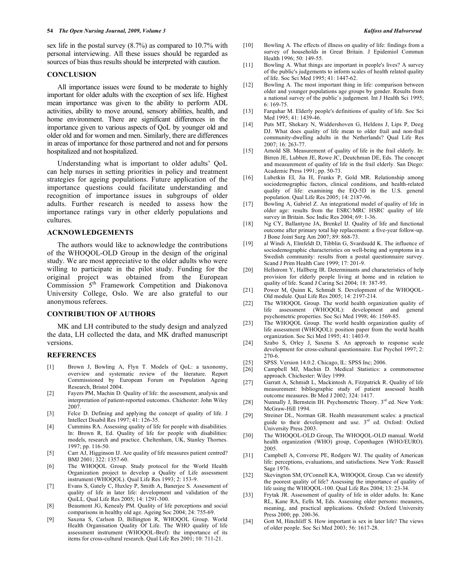sex life in the postal survey (8.7%) as compared to 10.7% with personal interviewing. All these issues should be regarded as sources of bias thus results should be interpreted with caution.

### **CONCLUSION**

 All importance issues were found to be moderate to highly important for older adults with the exception of sex life. Highest mean importance was given to the ability to perform ADL activities, ability to move around, sensory abilities, health, and home environment. There are significant differences in the importance given to various aspects of QoL by younger old and older old and for women and men. Similarly, there are differences in areas of importance for those partnered and not and for persons hospitalized and not hospitalized.

 Understanding what is important to older adults' QoL can help nurses in setting priorities in policy and treatment strategies for ageing populations. Future application of the importance questions could facilitate understanding and recognition of importance issues in subgroups of older adults. Further research is needed to assess how the importance ratings vary in other elderly populations and cultures.

### **ACKNOWLEDGEMENTS**

 The authors would like to acknowledge the contributions of the WHOQOL-OLD Group in the design of the original study. We are most appreciative to the older adults who were willing to participate in the pilot study. Funding for the original project was obtained from the European Commission 5<sup>th</sup> Framework Competition and Diakonova University College, Oslo. We are also grateful to our anonymous referees.

### **CONTRIBUTION OF AUTHORS**

 MK and LH contributed to the study design and analyzed the data, LH collected the data, and MK drafted manuscript versions.

### **REFERENCES**

- [1] Brown J, Bowling A, Flyn T. Models of QoL: a taxonomy, overview and systematic review of the literature. Report Commissioned by European Forum on Population Ageing Research, Bristol 2004.
- [2] Fayers PM, Machin D. Quality of life: the assessment, analysis and interpretation of patient-reported outcomes. Chichester: John Wiley 2007.
- [3] Felce D. Defining and applying the concept of quality of life. J Intellect Disabil Res 1997; 41: 126-35.
- [4] Cummins RA. Assessing quality of life for people with disabilities. In: Brown R, Ed. Quality of life for people with disabilities: models, research and practice. Cheltenham, UK, Stanley Thornes. 1997; pp. 116-50.
- [5] Carr AJ, Higginson IJ. Are quality of life measures patient centred? BMJ 2001; 322: 1357-60.
- [6] The WHOQOL Group. Study protocol for the World Health Organization project to develop a Quality of Life assessment instrument (WHOQOL). Qual Life Res 1993; 2: 153-9.
- [7] Evans S, Gately C, Huxley P, Smith A, Banerjee S. Assessment of quality of life in later life: development and validation of the QuiLL. Qual Life Res 2005; 14: 1291-300.
- [8] Beaumont JG, Kenealy PM. Quality of life perceptions and social comparisons in healthy old age. Ageing Soc 2004; 24: 755-69.
- [9] Saxena S, Carlson D, Billington R, WHOQOL Group. World Health Organisation Quality Of Life. The WHO quality of life assessment instrument (WHOQOL-Bref): the importance of its items for cross-cultural research. Qual Life Res 2001; 10: 711-21.
- [10] Bowling A. The effects of illness on quality of life: findings from a survey of households in Great Britain. J Epidemiol Commun Health 1996; 50: 149-55.
- [11] Bowling A. What things are important in people's lives? A survey of the public's judgements to inform scales of health related quality of life. Soc Sci Med 1995; 41: 1447-62.
- [12] Bowling A. The most important thing in life: comparison between older and younger populations age groups by gender. Results from a national survey of the public`s judgement. Int J Health Sci 1995; 6: 169-75.
- [13] Farquhar M. Elderly people's definitions of quality of life. Soc Sci Med 1995; 41: 1439-46.
- [14] Puts MT, Shekary N, Widdershoven G, Heldens J, Lips P, Deeg DJ. What does quality of life mean to older frail and non-frail community-dwelling adults in the Netherlands? Qual Life Res 2007; 16: 263-77.
- [15] Arnold SB. Measurement of quality of life in the frail elderly. In: Birren JE, Lubben JE, Rowe JC, Deutchman DE, Eds. The concept and measurement of quality of life in the frail elderly. San Diego: Academic Press 1991; pp. 50-73.
- [16] Lubetkin EI, Jia H, Franks P, Gold MR. Relationship among sociodemographic factors, clinical conditions, and health-related quality of life: examining the EQ-5D in the U.S. general population. Qual Life Res 2005; 14: 2187-96.
- [17] Bowling A, Gabriel Z. An integrational model of quality of life in older age: results from the ESRC/MRC HSRC quality of life survey in Britain. Soc Indic Res 2004; 69: 1-36.
- [18] Ng CY, Ballantyne JA, Brenkel IJ. Quality of life and functional outcome after primary total hip replacement: a five-year follow-up. J Bone Joint Surg Am 2007; 89: 868-73.
- [19] al Windi A, Elmfeldt D, Tibblin G, Svardsudd K. The influence of sociodemographic characteristics on well-being and symptoms in a Swedish community: results from a postal questionnaire survey. Scand J Prim Health Care 1999; 17: 201-9.
- [20] Hellstrom Y, Hallberg IR. Determinants and characteristics of help provision for elderly people living at home and in relation to quality of life. Scand J Caring Sci 2004; 18: 387-95.
- [21] Power M, Quinn K, Schmidt S. Development of the WHOQOL-Old module. Qual Life Res 2005; 14: 2197-214.
- [22] The WHOQOL Group. The world health organization quality of life assessment (WHOQOL): development and general psychometric properties. Soc Sci Med 1998; 46: 1569-85.
- [23] The WHOQOL Group. The world health organization quality of life assessment (WHOQOL): position paper from the world health organization. Soc Sci Med 1995; 41: 1403-9.
- [24] Szabo S, Orley J, Saxena S. An approach to response scale development for cross-cultural questionnaire. Eur Psychol 1997; 2: 270-6.
- [25] SPSS. Version 14.0.2. Chicago, IL: SPSS Inc; 2006.
- [26] Campbell MJ, Machin D. Medical Statistics: a commonsense approach. Chichester: Wiley 1999.
- [27] Garratt A, Schmidt L, Mackintosh A, Fitzpatrick R. Quality of life measurement: bibliographic study of patient assessed health outcome measures. Br Med J 2002; 324: 1417.
- [28] Nunnally J, Bernstein IH. Psychometric Theory. 3<sup>rd</sup> ed. New York: McGraw-Hill 1994.
- [29] Streiner DL, Norman GR. Health measurement scales: a practical guide to their development and use. 3<sup>rd</sup> ed. Oxford: Oxford University Press 2003.
- [30] The WHOQOL-OLD Group, The WHOQOL-OLD manual. World health organization (WHO) group, Copenhagen (WHO/EURO). 2005.
- [31] Campbell A, Converse PE, Rodgers WJ. The quality of American life: perceptions, evaluations, and satisfactions. New York: Russell Sage 1976.
- [32] Skevington SM, O'Connell KA, WHOQOL Group. Can we identify the poorest quality of life? Assessing the importance of quality of life using the WHOQOL-100. Qual Life Res 2004; 13: 23-34.
- [33] Frytak JR. Assessment of quality of life in older adults. In: Kane RL, Kane RA, Eells M, Eds. Assessing older persons: measures, meaning, and practical applications. Oxford: Oxford University Press 2000; pp. 200-36.
- [34] Gott M, Hinchliff S. How important is sex in later life? The views of older people. Soc Sci Med 2003; 56: 1617-28.